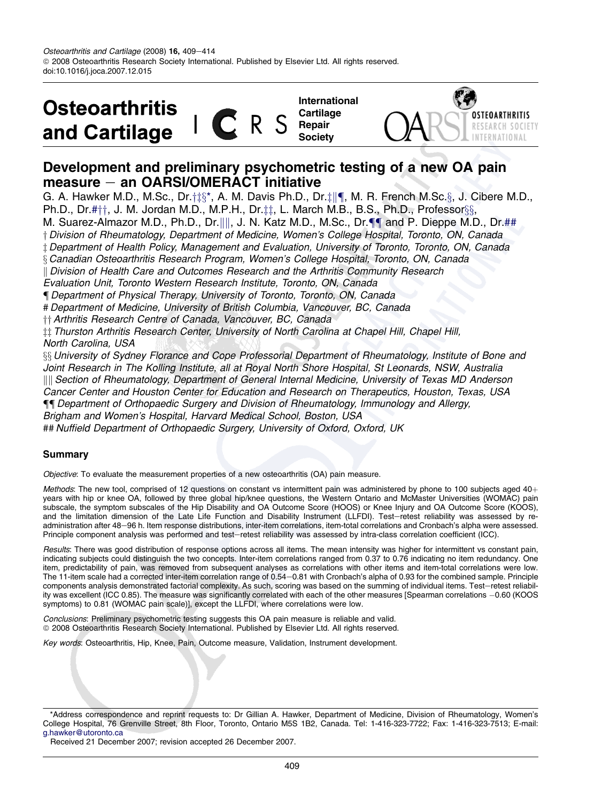

# Development and preliminary psychometric testing of a new OA pain measure  $-$  an OARSI/OMERACT initiative

G. A. Hawker M.D., M.Sc., Dr. $\dagger \ddagger \S^*$ , A. M. Davis Ph.D., Dr. $\ddagger \| \P$ , M. R. French M.Sc. $\S$ , J. Cibere M.D., Ph.D., Dr.#††, J. M. Jordan M.D., M.P.H., Dr.‡‡, L. March M.B., B.S., Ph.D., Professor §§, M. Suarez-Almazor M.D., Ph.D., Dr. || ||, J. N. Katz M.D., M.Sc., Dr.  $\P$  and P. Dieppe M.D., Dr.  $\#$  # y Division of Rheumatology, Department of Medicine, Women's College Hospital, Toronto, ON, Canada  $t$  Department of Health Policy, Management and Evaluation, University of Toronto, Toronto, ON, Canada x Canadian Osteoarthritis Research Program, Women's College Hospital, Toronto, ON, Canada Il Division of Health Care and Outcomes Research and the Arthritis Community Research Evaluation Unit, Toronto Western Research Institute, Toronto, ON, Canada { Department of Physical Therapy, University of Toronto, Toronto, ON, Canada # Department of Medicine, University of British Columbia, Vancouver, BC, Canada <sup>††</sup> Arthritis Research Centre of Canada, Vancouver, BC, Canada  $\pm\ddagger$  Thurston Arthritis Research Center, University of North Carolina at Chapel Hill, Chapel Hill, North Carolina, USA xx University of Sydney Florance and Cope Professorial Department of Rheumatology, Institute of Bone and Joint Research in The Kolling Institute, all at Royal North Shore Hospital, St Leonards, NSW, Australia |||| Section of Rheumatology, Department of General Internal Medicine, University of Texas MD Anderson Cancer Center and Houston Center for Education and Research on Therapeutics, Houston, Texas, USA {{ Department of Orthopaedic Surgery and Division of Rheumatology, Immunology and Allergy,

Brigham and Women's Hospital, Harvard Medical School, Boston, USA

## Nuffield Department of Orthopaedic Surgery, University of Oxford, Oxford, UK

## **Summary**

Objective: To evaluate the measurement properties of a new osteoarthritis (OA) pain measure.

Methods: The new tool, comprised of 12 questions on constant vs intermittent pain was administered by phone to 100 subjects aged  $40+$ years with hip or knee OA, followed by three global hip/knee questions, the Western Ontario and McMaster Universities (WOMAC) pain subscale, the symptom subscales of the Hip Disability and OA Outcome Score (HOOS) or Knee Injury and OA Outcome Score (KOOS), and the limitation dimension of the Late Life Function and Disability Instrument (LLFDI). Test-retest reliability was assessed by readministration after 48-96 h. Item response distributions, inter-item correlations, item-total correlations and Cronbach's alpha were assessed. Principle component analysis was performed and test-retest reliability was assessed by intra-class correlation coefficient (ICC).

Results: There was good distribution of response options across all items. The mean intensity was higher for intermittent vs constant pain, indicating subjects could distinguish the two concepts. Inter-item correlations ranged from 0.37 to 0.76 indicating no item redundancy. One item, predictability of pain, was removed from subsequent analyses as correlations with other items and item-total correlations were low. The 11-item scale had a corrected inter-item correlation range of 0.54-0.81 with Cronbach's alpha of 0.93 for the combined sample. Principle components analysis demonstrated factorial complexity. As such, scoring was based on the summing of individual items. Test-retest reliability was excellent (ICC 0.85). The measure was significantly correlated with each of the other measures [Spearman correlations -0.60 (KOOS symptoms) to 0.81 (WOMAC pain scale)], except the LLFDI, where correlations were low.

Conclusions: Preliminary psychometric testing suggests this OA pain measure is reliable and valid. ª 2008 Osteoarthritis Research Society International. Published by Elsevier Ltd. All rights reserved.

Key words: Osteoarthritis, Hip, Knee, Pain, Outcome measure, Validation, Instrument development.

Received 21 December 2007; revision accepted 26 December 2007.

<sup>\*</sup>Address correspondence and reprint requests to: Dr Gillian A. Hawker, Department of Medicine, Division of Rheumatology, Women's College Hospital, 76 Grenville Street, 8th Floor, Toronto, Ontario M5S 1B2, Canada. Tel: 1-416-323-7722; Fax: 1-416-323-7513; E-mail: [g.hawker@utoronto.ca](mailto:g.hawker@utoronto.ca)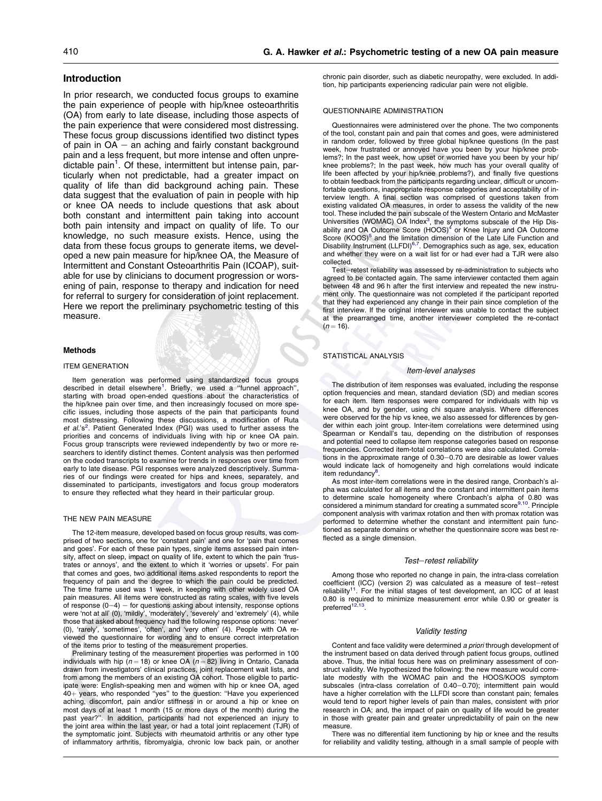## Introduction

In prior research, we conducted focus groups to examine the pain experience of people with hip/knee osteoarthritis (OA) from early to late disease, including those aspects of the pain experience that were considered most distressing. These focus group discussions identified two distinct types of pain in  $OA -$  an aching and fairly constant background pain and a less frequent, but more intense and often unpredictable pain<sup>1</sup>. Of these, intermittent but intense pain, particularly when not predictable, had a greater impact on quality of life than did background aching pain. These data suggest that the evaluation of pain in people with hip or knee OA needs to include questions that ask about both constant and intermittent pain taking into account both pain intensity and impact on quality of life. To our knowledge, no such measure exists. Hence, using the data from these focus groups to generate items, we developed a new pain measure for hip/knee OA, the Measure of Intermittent and Constant Osteoarthritis Pain (ICOAP), suitable for use by clinicians to document progression or worsening of pain, response to therapy and indication for need for referral to surgery for consideration of joint replacement. Here we report the preliminary psychometric testing of this measure.

#### Methods

#### ITEM GENERATION

Item generation was performed using standardized focus groups<br>described in detail elsewhere<sup>[1](#page-5-0)</sup>. Briefly, we used a "funnel approach", starting with broad open-ended questions about the characteristics of the hip/knee pain over time, and then increasingly focused on more specific issues, including those aspects of the pain that participants found most distressing. Following these discussions, a modification of Ruta et al.'s<sup>[2](#page-5-0)</sup>. Patient Generated Index (PGI) was used to further assess the priorities and concerns of individuals living with hip or knee OA pain. Focus group transcripts were reviewed independently by two or more researchers to identify distinct themes. Content analysis was then performed on the coded transcripts to examine for trends in responses over time from early to late disease. PGI responses were analyzed descriptively. Summaries of our findings were created for hips and knees, separately, and disseminated to participants, investigators and focus group moderators to ensure they reflected what they heard in their particular group.

#### THE NEW PAIN MEASURE

The 12-item measure, developed based on focus group results, was comprised of two sections, one for 'constant pain' and one for 'pain that comes and goes'. For each of these pain types, single items assessed pain intensity, affect on sleep, impact on quality of life, extent to which the pain 'frustrates or annoys', and the extent to which it 'worries or upsets'. For pain that comes and goes, two additional items asked respondents to report the frequency of pain and the degree to which the pain could be predicted. The time frame used was 1 week, in keeping with other widely used OA pain measures. All items were constructed as rating scales, with five levels of response  $(0-4)$  – for questions asking about intensity, response options were 'not at all' (0), 'mildly', 'moderately', 'severely' and 'extremely' (4), while those that asked about frequency had the following response options: 'never' (0), 'rarely', 'sometimes', 'often', and 'very often' (4). People with OA reviewed the questionnaire for wording and to ensure correct interpretation of the items prior to testing of the measurement properties.

Preliminary testing of the measurement properties was performed in 100 individuals with hip ( $n = 18$ ) or knee OA ( $n = 82$ ) living in Ontario, Canada drawn from investigators' clinical practices, joint replacement wait lists, and from among the members of an existing OA cohort. Those eligible to participate were: English-speaking men and women with hip or knee OA, aged 40+ years, who responded "yes" to the question: "Have you experienced aching, discomfort, pain and/or stiffness in or around a hip or knee on most days of at least 1 month (15 or more days of the month) during the past year?''. In addition, participants had not experienced an injury to the joint area within the last year, or had a total joint replacement (TJR) of the symptomatic joint. Subjects with rheumatoid arthritis or any other type of inflammatory arthritis, fibromyalgia, chronic low back pain, or another chronic pain disorder, such as diabetic neuropathy, were excluded. In addition, hip participants experiencing radicular pain were not eligible.

#### QUESTIONNAIRE ADMINISTRATION

Questionnaires were administered over the phone. The two components of the tool, constant pain and pain that comes and goes, were administered in random order, followed by three global hip/knee questions (In the past week, how frustrated or annoyed have you been by your hip/knee problems?; In the past week, how upset or worried have you been by your hip/ knee problems?; In the past week, how much has your overall quality of life been affected by your hip/knee problems?), and finally five questions to obtain feedback from the participants regarding unclear, difficult or uncomfortable questions, inappropriate response categories and acceptability of interview length. A final section was comprised of questions taken from existing validated OA measures, in order to assess the validity of the new tool. These included the pain subscale of the Western Ontario and McMaster Universities (WOMAC) OA Index<sup>[3](#page-5-0)</sup>, the symptoms subscale of the Hip Dis-<br>ability and OA Outcome Score (HOOS)<sup>[4](#page-5-0)</sup> or Knee Injury and OA Outcome Score (KOOS)<sup>[5](#page-5-0)</sup> and the limitation dimension of the Late Life Function and Disability Instrument (LLFDI) $6,7$ . Demographics such as age, sex, education and whether they were on a wait list for or had ever had a TJR were also collected.

Test-retest reliability was assessed by re-administration to subjects who agreed to be contacted again. The same interviewer contacted them again between 48 and 96 h after the first interview and repeated the new instrument only. The questionnaire was not completed if the participant reported that they had experienced any change in their pain since completion of the first interview. If the original interviewer was unable to contact the subject at the prearranged time, another interviewer completed the re-contact  $(n = 16)$ .

#### STATISTICAL ANALYSIS

#### Item-level analyses

The distribution of item responses was evaluated, including the response option frequencies and mean, standard deviation (SD) and median scores for each item. Item responses were compared for individuals with hip vs. knee OA, and by gender, using chi square analysis. Where differences were observed for the hip vs knee, we also assessed for differences by gender within each joint group. Inter-item correlations were determined using Spearman or Kendall's tau, depending on the distribution of responses and potential need to collapse item response categories based on response frequencies. Corrected item-total correlations were also calculated. Correlations in the approximate range of  $0.30-0.70$  are desirable as lower values would indicate lack of homogeneity and high correlations would indicate item redundancy<sup>[8](#page-5-0)</sup>.

As most inter-item correlations were in the desired range, Cronbach's alpha was calculated for all items and the constant and intermittent pain items to determine scale homogeneity where Cronbach's alpha of 0.80 was considered a minimum standard for creating a summated score<sup>[9,10](#page-5-0)</sup>. Principle component analysis with varimax rotation and then with promax rotation was performed to determine whether the constant and intermittent pain functioned as separate domains or whether the questionnaire score was best reflected as a single dimension.

#### Test-retest reliability

Among those who reported no change in pain, the intra-class correlation coefficient (ICC) (version 2) was calculated as a measure of test-retest reliability<sup>[11](#page-5-0)</sup>. For the initial stages of test development, an ICC of at least 0.80 is required to minimize measurement error while 0.90 or greater is preferred<sup>12,13</sup>.

#### Validity testing

Content and face validity were determined a priori through development of the instrument based on data derived through patient focus groups, outlined above. Thus, the initial focus here was on preliminary assessment of construct validity. We hypothesized the following: the new measure would correlate modestly with the WOMAC pain and the HOOS/KOOS symptom subscales (intra-class correlation of 0.40-0.70); intermittent pain would have a higher correlation with the LLFDI score than constant pain; females would tend to report higher levels of pain than males, consistent with prior research in OA; and, the impact of pain on quality of life would be greater in those with greater pain and greater unpredictability of pain on the new measure.

There was no differential item functioning by hip or knee and the results for reliability and validity testing, although in a small sample of people with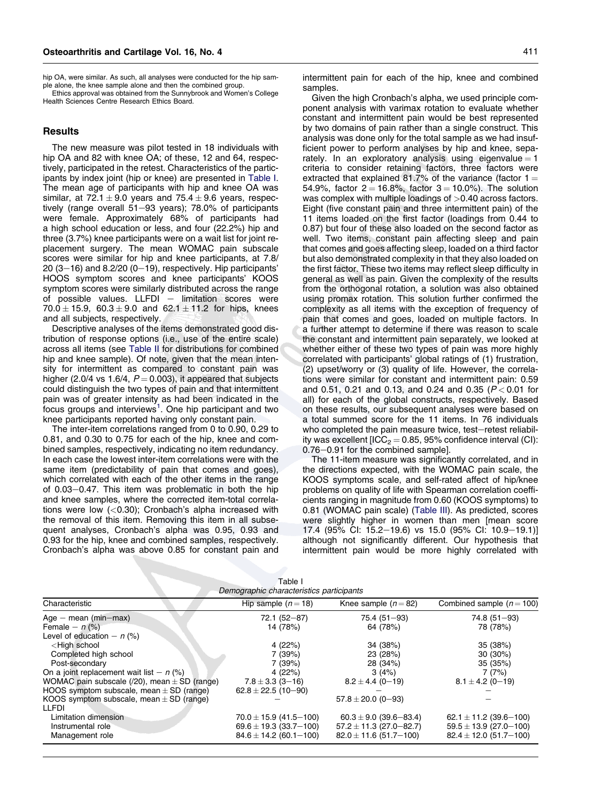hip OA, were similar. As such, all analyses were conducted for the hip sample alone, the knee sample alone and then the combined group.

Ethics approval was obtained from the Sunnybrook and Women's College Health Sciences Centre Research Ethics Board.

## **Results**

The new measure was pilot tested in 18 individuals with hip OA and 82 with knee OA; of these, 12 and 64, respectively, participated in the retest. Characteristics of the participants by index joint (hip or knee) are presented in Table I. The mean age of participants with hip and knee OA was similar, at 72.1  $\pm$  9.0 years and 75.4  $\pm$  9.6 years, respectively (range overall 51-93 years); 78.0% of participants were female. Approximately 68% of participants had a high school education or less, and four (22.2%) hip and three (3.7%) knee participants were on a wait list for joint replacement surgery. The mean WOMAC pain subscale scores were similar for hip and knee participants, at 7.8/ 20  $(3-16)$  and 8.2/20  $(0-19)$ , respectively. Hip participants' HOOS symptom scores and knee participants' KOOS symptom scores were similarly distributed across the range of possible values.  $LLFDI - Iimitation scores were$  $70.0 \pm 15.9$ ,  $60.3 \pm 9.0$  and  $62.1 \pm 11.2$  for hips, knees and all subjects, respectively.

Descriptive analyses of the items demonstrated good distribution of response options (i.e., use of the entire scale) across all items (see [Table II](#page-3-0) for distributions for combined hip and knee sample). Of note, given that the mean intensity for intermittent as compared to constant pain was higher (2.0/4 vs 1.6/4,  $P = 0.003$ ), it appeared that subjects could distinguish the two types of pain and that intermittent pain was of greater intensity as had been indicated in the focus groups and interviews<sup>[1](#page-5-0)</sup>. One hip participant and two knee participants reported having only constant pain.

The inter-item correlations ranged from 0 to 0.90, 0.29 to 0.81, and 0.30 to 0.75 for each of the hip, knee and combined samples, respectively, indicating no item redundancy. In each case the lowest inter-item correlations were with the same item (predictability of pain that comes and goes), which correlated with each of the other items in the range of  $0.03-0.47$ . This item was problematic in both the hip and knee samples, where the corrected item-total correlations were low  $( $0.30$ ): Cronbach's alpha increased with$ the removal of this item. Removing this item in all subsequent analyses, Cronbach's alpha was 0.95, 0.93 and 0.93 for the hip, knee and combined samples, respectively. Cronbach's alpha was above 0.85 for constant pain and intermittent pain for each of the hip, knee and combined samples.

Given the high Cronbach's alpha, we used principle component analysis with varimax rotation to evaluate whether constant and intermittent pain would be best represented by two domains of pain rather than a single construct. This analysis was done only for the total sample as we had insufficient power to perform analyses by hip and knee, separately. In an exploratory analysis using eigenvalue =  $1$ criteria to consider retaining factors, three factors were extracted that explained 81.7% of the variance (factor  $1 =$ 54.9%, factor  $2 = 16.8$ %, factor  $3 = 10.0$ %). The solution was complex with multiple loadings of  $>0.40$  across factors. Eight (five constant pain and three intermittent pain) of the 11 items loaded on the first factor (loadings from 0.44 to 0.87) but four of these also loaded on the second factor as well. Two items, constant pain affecting sleep and pain that comes and goes affecting sleep, loaded on a third factor but also demonstrated complexity in that they also loaded on the first factor. These two items may reflect sleep difficulty in general as well as pain. Given the complexity of the results from the orthogonal rotation, a solution was also obtained using promax rotation. This solution further confirmed the complexity as all items with the exception of frequency of pain that comes and goes, loaded on multiple factors. In a further attempt to determine if there was reason to scale the constant and intermittent pain separately, we looked at whether either of these two types of pain was more highly correlated with participants' global ratings of (1) frustration, (2) upset/worry or (3) quality of life. However, the correlations were similar for constant and intermittent pain: 0.59 and 0.51, 0.21 and 0.13, and 0.24 and 0.35 ( $P < 0.01$  for all) for each of the global constructs, respectively. Based on these results, our subsequent analyses were based on a total summed score for the 11 items. In 76 individuals who completed the pain measure twice, test-retest reliability was excellent  $[ICC<sub>2</sub> = 0.85, 95%$  confidence interval (CI):  $0.76 - 0.91$  for the combined sample].

The 11-item measure was significantly correlated, and in the directions expected, with the WOMAC pain scale, the KOOS symptoms scale, and self-rated affect of hip/knee problems on quality of life with Spearman correlation coefficients ranging in magnitude from 0.60 (KOOS symptoms) to 0.81 (WOMAC pain scale) [\(Table III\)](#page-3-0). As predicted, scores were slightly higher in women than men [mean score 17.4 (95% CI: 15.2-19.6) vs 15.0 (95% CI: 10.9-19.1)] although not significantly different. Our hypothesis that intermittent pain would be more highly correlated with

| i avie i<br>Demographic characteristics participants                            |                            |                             |                             |  |
|---------------------------------------------------------------------------------|----------------------------|-----------------------------|-----------------------------|--|
| Characteristic                                                                  | Hip sample $(n=18)$        | Knee sample $(n=82)$        | Combined sample $(n = 100)$ |  |
| $Age - mean (min-max)$                                                          | $72.1(52 - 87)$            | 75.4 (51-93)                | 74.8 (51-93)                |  |
| Female $- n$ (%)                                                                | 14 (78%)                   | 64 (78%)                    | 78 (78%)                    |  |
| Level of education $- n$ (%)                                                    |                            |                             |                             |  |
| <high school<="" td=""><td>4(22%)</td><td>34 (38%)</td><td>35 (38%)</td></high> | 4(22%)                     | 34 (38%)                    | 35 (38%)                    |  |
| Completed high school                                                           | 7(39%)                     | 23 (28%)                    | $30(30\%)$                  |  |
| Post-secondary                                                                  | 7(39%)                     | 28 (34%)                    | 35 (35%)                    |  |
| On a joint replacement wait list $- n$ (%)                                      | 4(22%)                     | 3(4%)                       | 7(7%)                       |  |
| WOMAC pain subscale $(20)$ , mean $\pm$ SD (range)                              | $7.8 \pm 3.3$ (3-16)       | $8.2 \pm 4.4$ (0-19)        | $8.1 \pm 4.2$ (0-19)        |  |
| HOOS symptom subscale, mean $\pm$ SD (range)                                    | $62.8 \pm 22.5$ (10-90)    |                             |                             |  |
| KOOS symptom subscale, mean $\pm$ SD (range)                                    |                            | $57.8 \pm 20.0$ (0-93)      |                             |  |
| LLFDI                                                                           |                            |                             |                             |  |
| Limitation dimension                                                            | $70.0 \pm 15.9$ (41.5-100) | $60.3 \pm 9.0$ (39.6-83.4)  | $62.1 \pm 11.2$ (39.6-100)  |  |
| Instrumental role                                                               | $69.6 \pm 19.3$ (33.7-100) | $57.2 \pm 11.3$ (27.0-82.7) | $59.5 \pm 13.9$ (27.0-100)  |  |
| Management role                                                                 | $84.6 \pm 14.2$ (60.1-100) | $82.0 \pm 11.6$ (51.7-100)  | $82.4 \pm 12.0$ (51.7-100)  |  |

| Table I                             |  |
|-------------------------------------|--|
| emographic characteristics particin |  |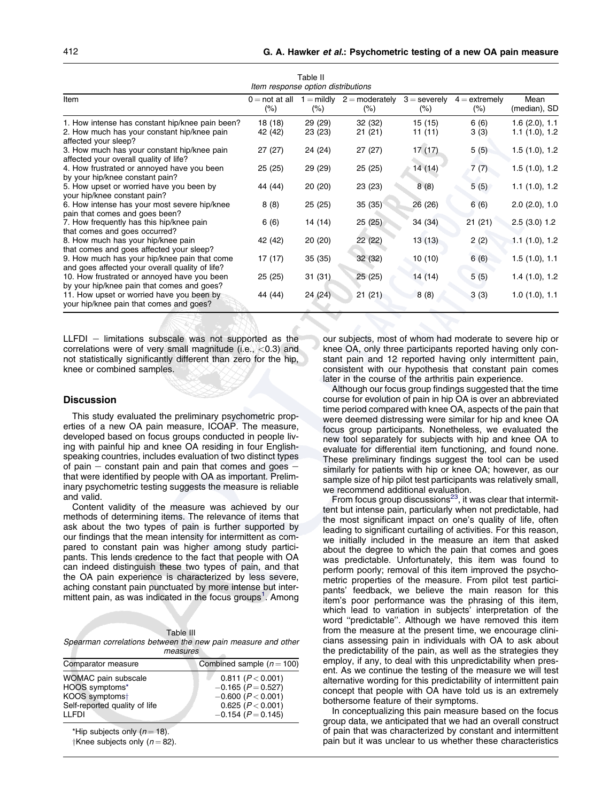<span id="page-3-0"></span>

| Table II<br>Item response option distributions                                                                         |                    |                    |                                                              |                           |                            |                                        |
|------------------------------------------------------------------------------------------------------------------------|--------------------|--------------------|--------------------------------------------------------------|---------------------------|----------------------------|----------------------------------------|
| Item                                                                                                                   | (%)                | $(\%)$             | $0 = \text{not at all}$ 1 = mildly 2 = moderately<br>$(\% )$ | $3 =$ severely<br>$(\% )$ | $4 =$ extremely<br>$(\% )$ | Mean<br>(median), SD                   |
| 1. How intense has constant hip/knee pain been?<br>2. How much has your constant hip/knee pain<br>affected your sleep? | 18 (18)<br>42 (42) | 29 (29)<br>23 (23) | 32(32)<br>21 (21)                                            | 15 (15)<br>11 (11)        | 6(6)<br>3(3)               | 1.6(2.0), 1.1<br>$1.1$ $(1.0)$ , $1.2$ |
| 3. How much has your constant hip/knee pain<br>affected your overall quality of life?                                  | 27 (27)            | 24 (24)            | 27 (27)                                                      | 17(17)                    | 5(5)                       | 1.5(1.0), 1.2                          |
| 4. How frustrated or annoyed have you been<br>by your hip/knee constant pain?                                          | 25 (25)            | 29 (29)            | 25(25)                                                       | 14 (14)                   | 7(7)                       | 1.5(1.0), 1.2                          |
| 5. How upset or worried have you been by<br>your hip/knee constant pain?                                               | 44 (44)            | 20 (20)            | 23 (23)                                                      | 8(8)                      | 5(5)                       | $1.1$ $(1.0)$ , $1.2$                  |
| 6. How intense has your most severe hip/knee<br>pain that comes and goes been?                                         | 8(8)               | 25 (25)            | 35(35)                                                       | 26 (26)                   | 6(6)                       | $2.0$ ( $2.0$ ), $1.0$                 |
| 7. How frequently has this hip/knee pain<br>that comes and goes occurred?                                              | 6(6)               | 14 (14)            | 25(25)                                                       | 34 (34)                   | 21(21)                     | 2.5(3.0)1.2                            |
| 8. How much has your hip/knee pain<br>that comes and goes affected your sleep?                                         | 42 (42)            | 20 (20)            | 22 (22)                                                      | 13(13)                    | 2(2)                       | $1.1$ $(1.0)$ , $1.2$                  |
| 9. How much has your hip/knee pain that come<br>and goes affected your overall quality of life?                        | 17 (17)            | 35 (35)            | 32 (32)                                                      | 10(10)                    | 6(6)                       | 1.5(1.0), 1.1                          |
| 10. How frustrated or annoyed have you been<br>by your hip/knee pain that comes and goes?                              | 25 (25)            | 31(31)             | 25(25)                                                       | 14 (14)                   | 5(5)                       | 1.4(1.0), 1.2                          |
| 11. How upset or worried have you been by<br>your hip/knee pain that comes and goes?                                   | 44 (44)            | 24(24)             | 21(21)                                                       | 8(8)                      | 3(3)                       | 1.0(1.0), 1.1                          |

 $LLFDI -$  limitations subscale was not supported as the correlations were of very small magnitude (i.e., <0.3) and not statistically significantly different than zero for the hip, knee or combined samples.

## **Discussion**

This study evaluated the preliminary psychometric properties of a new OA pain measure, ICOAP. The measure, developed based on focus groups conducted in people living with painful hip and knee OA residing in four Englishspeaking countries, includes evaluation of two distinct types of pain  $-$  constant pain and pain that comes and goes  $$ that were identified by people with OA as important. Preliminary psychometric testing suggests the measure is reliable and valid.

Content validity of the measure was achieved by our methods of determining items. The relevance of items that ask about the two types of pain is further supported by our findings that the mean intensity for intermittent as compared to constant pain was higher among study participants. This lends credence to the fact that people with OA can indeed distinguish these two types of pain, and that the OA pain experience is characterized by less severe, aching constant pain punctuated by more intense but inter-mittent pain, as was indicated in the focus groups<sup>[1](#page-5-0)</sup>. Among

|                                                              | Table III |  |  |  |
|--------------------------------------------------------------|-----------|--|--|--|
| Spearman correlations between the new pain measure and other |           |  |  |  |
|                                                              |           |  |  |  |

| measures                                                                                                             |                                                                                                                           |  |  |  |
|----------------------------------------------------------------------------------------------------------------------|---------------------------------------------------------------------------------------------------------------------------|--|--|--|
| Comparator measure                                                                                                   | Combined sample $(n = 100)$                                                                                               |  |  |  |
| <b>WOMAC</b> pain subscale<br>HOOS symptoms*<br>KOOS symptoms <sup>+</sup><br>Self-reported quality of life<br>LLFDI | 0.811 (P< 0.001)<br>$-0.165$ (P = 0.527)<br>$-0.600$ ( $P < 0.001$ )<br>0.625 ( $P < 0.001$ )<br>$-0.154$ ( $P = 0.145$ ) |  |  |  |
| *Hip subjects only $(n=18)$ .<br>$+$ Knee subjects only $(n = 82)$ .                                                 |                                                                                                                           |  |  |  |

 $\dagger$ Knee subjects only ( $n = 82$ ).

our subjects, most of whom had moderate to severe hip or knee OA, only three participants reported having only constant pain and 12 reported having only intermittent pain, consistent with our hypothesis that constant pain comes later in the course of the arthritis pain experience.

Although our focus group findings suggested that the time course for evolution of pain in hip OA is over an abbreviated time period compared with knee OA, aspects of the pain that were deemed distressing were similar for hip and knee OA focus group participants. Nonetheless, we evaluated the new tool separately for subjects with hip and knee OA to evaluate for differential item functioning, and found none. These preliminary findings suggest the tool can be used similarly for patients with hip or knee OA; however, as our sample size of hip pilot test participants was relatively small, we recommend additional evaluation.

From focus group discussions $^{23}$  $^{23}$  $^{23}$ , it was clear that intermittent but intense pain, particularly when not predictable, had the most significant impact on one's quality of life, often leading to significant curtailing of activities. For this reason, we initially included in the measure an item that asked about the degree to which the pain that comes and goes was predictable. Unfortunately, this item was found to perform poorly; removal of this item improved the psychometric properties of the measure. From pilot test participants' feedback, we believe the main reason for this item's poor performance was the phrasing of this item, which lead to variation in subjects' interpretation of the word ''predictable''. Although we have removed this item from the measure at the present time, we encourage clinicians assessing pain in individuals with OA to ask about the predictability of the pain, as well as the strategies they employ, if any, to deal with this unpredictability when present. As we continue the testing of the measure we will test alternative wording for this predictability of intermittent pain concept that people with OA have told us is an extremely bothersome feature of their symptoms.

In conceptualizing this pain measure based on the focus group data, we anticipated that we had an overall construct of pain that was characterized by constant and intermittent pain but it was unclear to us whether these characteristics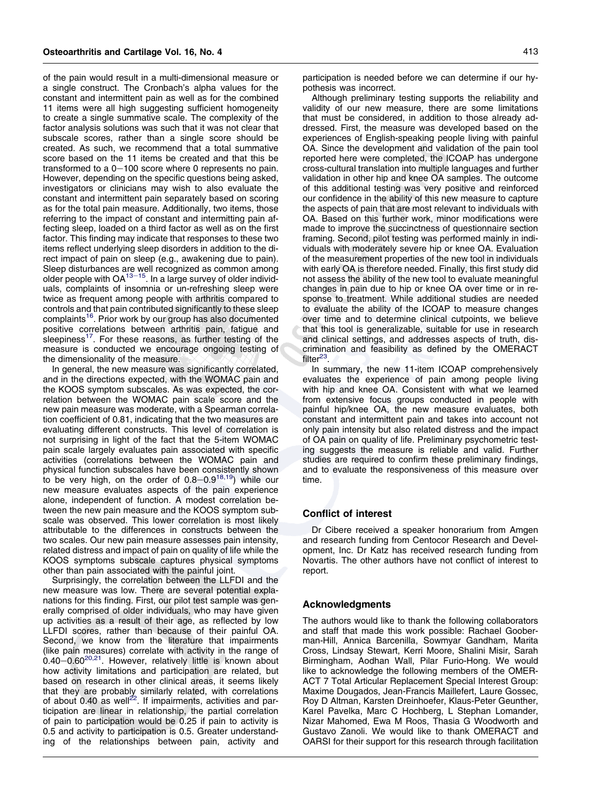of the pain would result in a multi-dimensional measure or a single construct. The Cronbach's alpha values for the constant and intermittent pain as well as for the combined 11 items were all high suggesting sufficient homogeneity to create a single summative scale. The complexity of the factor analysis solutions was such that it was not clear that subscale scores, rather than a single score should be created. As such, we recommend that a total summative score based on the 11 items be created and that this be transformed to a  $0-100$  score where 0 represents no pain. However, depending on the specific questions being asked, investigators or clinicians may wish to also evaluate the constant and intermittent pain separately based on scoring as for the total pain measure. Additionally, two items, those referring to the impact of constant and intermitting pain affecting sleep, loaded on a third factor as well as on the first factor. This finding may indicate that responses to these two items reflect underlying sleep disorders in addition to the direct impact of pain on sleep (e.g., awakening due to pain). Sleep disturbances [are we](#page-5-0)ll recognized as common among older people with  $OA^{13-15}$ . In a large survey of older individuals, complaints of insomnia or un-refreshing sleep were twice as frequent among people with arthritis compared to controls and that pain contributed significantly to these sleep complaints<sup>[16](#page-5-0)</sup>. Prior work by our group has also documented positive correlations between arthritis pain, fatigue and sleepiness $<sup>17</sup>$  $<sup>17</sup>$  $<sup>17</sup>$ . For these reasons, as further testing of the</sup> measure is conducted we encourage ongoing testing of the dimensionality of the measure.

In general, the new measure was significantly correlated, and in the directions expected, with the WOMAC pain and the KOOS symptom subscales. As was expected, the correlation between the WOMAC pain scale score and the new pain measure was moderate, with a Spearman correlation coefficient of 0.81, indicating that the two measures are evaluating different constructs. This level of correlation is not surprising in light of the fact that the 5-item WOMAC pain scale largely evaluates pain associated with specific activities (correlations between the WOMAC pain and physical function subscales have been consistently shown to be very high, on the order of  $0.8-0.9^{18,19}$ ) while our new measure evaluates aspects of the pain experience alone, independent of function. A modest correlation between the new pain measure and the KOOS symptom subscale was observed. This lower correlation is most likely attributable to the differences in constructs between the two scales. Our new pain measure assesses pain intensity, related distress and impact of pain on quality of life while the KOOS symptoms subscale captures physical symptoms other than pain associated with the painful joint.

Surprisingly, the correlation between the LLFDI and the new measure was low. There are several potential explanations for this finding. First, our pilot test sample was generally comprised of older individuals, who may have given up activities as a result of their age, as reflected by low LLFDI scores, rather than because of their painful OA. Second, we know from the literature that impairments (like pain measures) correlate with activity in the range of  $0.40-0.60^{20,21}$ . However, relatively little is known about how activity limitations and participation are related, but based on research in other clinical areas, it seems likely that they are probably similarly related, with correlations<br>of about 0.40 as well<sup>22</sup>. If impairments, activities and participation are linear in relationship, the partial correlation of pain to participation would be 0.25 if pain to activity is 0.5 and activity to participation is 0.5. Greater understanding of the relationships between pain, activity and

participation is needed before we can determine if our hypothesis was incorrect.

Although preliminary testing supports the reliability and validity of our new measure, there are some limitations that must be considered, in addition to those already addressed. First, the measure was developed based on the experiences of English-speaking people living with painful OA. Since the development and validation of the pain tool reported here were completed, the ICOAP has undergone cross-cultural translation into multiple languages and further validation in other hip and knee OA samples. The outcome of this additional testing was very positive and reinforced our confidence in the ability of this new measure to capture the aspects of pain that are most relevant to individuals with OA. Based on this further work, minor modifications were made to improve the succinctness of questionnaire section framing. Second, pilot testing was performed mainly in individuals with moderately severe hip or knee OA. Evaluation of the measurement properties of the new tool in individuals with early OA is therefore needed. Finally, this first study did not assess the ability of the new tool to evaluate meaningful changes in pain due to hip or knee OA over time or in response to treatment. While additional studies are needed to evaluate the ability of the ICOAP to measure changes over time and to determine clinical cutpoints, we believe that this tool is generalizable, suitable for use in research and clinical settings, and addresses aspects of truth, discrimination and feasibility as defined by the OMERACT filter $^{23}$ .

In summary, the new 11-item ICOAP comprehensively evaluates the experience of pain among people living with hip and knee OA. Consistent with what we learned from extensive focus groups conducted in people with painful hip/knee OA, the new measure evaluates, both constant and intermittent pain and takes into account not only pain intensity but also related distress and the impact of OA pain on quality of life. Preliminary psychometric testing suggests the measure is reliable and valid. Further studies are required to confirm these preliminary findings, and to evaluate the responsiveness of this measure over time.

## Conflict of interest

Dr Cibere received a speaker honorarium from Amgen and research funding from Centocor Research and Development, Inc. Dr Katz has received research funding from Novartis. The other authors have not conflict of interest to report.

### Acknowledgments

The authors would like to thank the following collaborators and staff that made this work possible: Rachael Gooberman-Hill, Annica Barcenilla, Sowmyar Gandham, Marita Cross, Lindsay Stewart, Kerri Moore, Shalini Misir, Sarah Birmingham, Aodhan Wall, Pilar Furio-Hong. We would like to acknowledge the following members of the OMER-ACT 7 Total Articular Replacement Special Interest Group: Maxime Dougados, Jean-Francis Maillefert, Laure Gossec, Roy D Altman, Karsten Dreinhoefer, Klaus-Peter Geunther, Karel Pavelka, Marc C Hochberg, L Stephan Lomander, Nizar Mahomed, Ewa M Roos, Thasia G Woodworth and Gustavo Zanoli. We would like to thank OMERACT and OARSI for their support for this research through facilitation